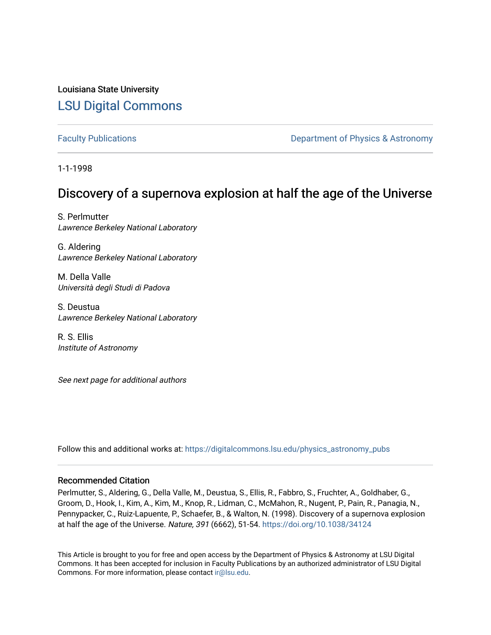Louisiana State University [LSU Digital Commons](https://digitalcommons.lsu.edu/)

[Faculty Publications](https://digitalcommons.lsu.edu/physics_astronomy_pubs) **Exercise 2 and Table 2 and Table 2 and Table 2 and Table 2 and Table 2 and Table 2 and Table 2 and Table 2 and Table 2 and Table 2 and Table 2 and Table 2 and Table 2 and Table 2 and Table 2 and Table** 

1-1-1998

## Discovery of a supernova explosion at half the age of the Universe

S. Perlmutter Lawrence Berkeley National Laboratory

G. Aldering Lawrence Berkeley National Laboratory

M. Della Valle Università degli Studi di Padova

S. Deustua Lawrence Berkeley National Laboratory

R. S. Ellis Institute of Astronomy

See next page for additional authors

Follow this and additional works at: [https://digitalcommons.lsu.edu/physics\\_astronomy\\_pubs](https://digitalcommons.lsu.edu/physics_astronomy_pubs?utm_source=digitalcommons.lsu.edu%2Fphysics_astronomy_pubs%2F4792&utm_medium=PDF&utm_campaign=PDFCoverPages) 

#### Recommended Citation

Perlmutter, S., Aldering, G., Della Valle, M., Deustua, S., Ellis, R., Fabbro, S., Fruchter, A., Goldhaber, G., Groom, D., Hook, I., Kim, A., Kim, M., Knop, R., Lidman, C., McMahon, R., Nugent, P., Pain, R., Panagia, N., Pennypacker, C., Ruiz-Lapuente, P., Schaefer, B., & Walton, N. (1998). Discovery of a supernova explosion at half the age of the Universe. Nature, 391 (6662), 51-54.<https://doi.org/10.1038/34124>

This Article is brought to you for free and open access by the Department of Physics & Astronomy at LSU Digital Commons. It has been accepted for inclusion in Faculty Publications by an authorized administrator of LSU Digital Commons. For more information, please contact [ir@lsu.edu](mailto:ir@lsu.edu).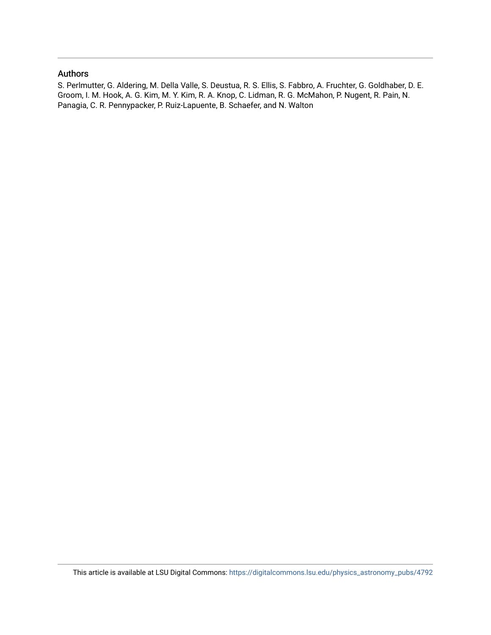#### Authors

S. Perlmutter, G. Aldering, M. Della Valle, S. Deustua, R. S. Ellis, S. Fabbro, A. Fruchter, G. Goldhaber, D. E. Groom, I. M. Hook, A. G. Kim, M. Y. Kim, R. A. Knop, C. Lidman, R. G. McMahon, P. Nugent, R. Pain, N. Panagia, C. R. Pennypacker, P. Ruiz-Lapuente, B. Schaefer, and N. Walton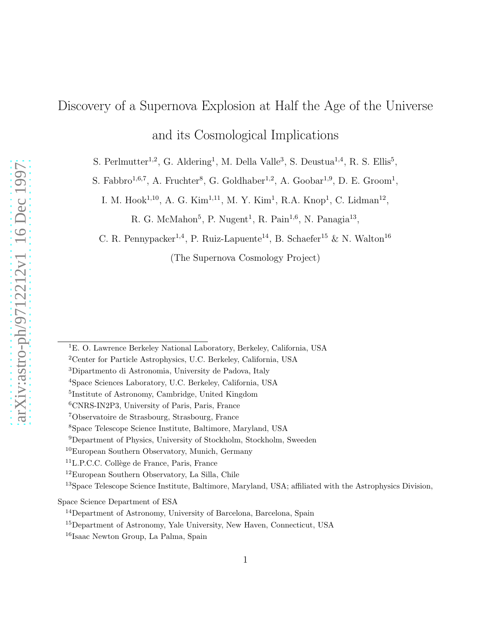# Discovery of a Supernova Explosion at Half the Age of the Universe and its Cosmological Implications

S. Perlmutter<sup>1,2</sup>, G. Aldering<sup>1</sup>, M. Della Valle<sup>3</sup>, S. Deustua<sup>1,4</sup>, R. S. Ellis<sup>5</sup>,

S. Fabbro<sup>1,6,7</sup>, A. Fruchter<sup>8</sup>, G. Goldhaber<sup>1,2</sup>, A. Goobar<sup>1,9</sup>, D. E. Groom<sup>1</sup>,

I. M. Hook<sup>1,10</sup>, A. G. Kim<sup>1,11</sup>, M. Y. Kim<sup>1</sup>, R.A. Knop<sup>1</sup>, C. Lidman<sup>12</sup>,

R. G. McMahon<sup>5</sup>, P. Nugent<sup>1</sup>, R. Pain<sup>1,6</sup>, N. Panagia<sup>13</sup>,

C. R. Pennypacker<sup>1,4</sup>, P. Ruiz-Lapuente<sup>14</sup>, B. Schaefer<sup>15</sup> & N. Walton<sup>16</sup>

(The Supernova Cosmology Project)

<sup>1</sup>E. O. Lawrence Berkeley National Laboratory, Berkeley, California, USA

<sup>2</sup>Center for Particle Astrophysics, U.C. Berkeley, California, USA

<sup>3</sup>Dipartmento di Astronomia, University de Padova, Italy

<sup>4</sup>Space Sciences Laboratory, U.C. Berkeley, California, USA

<sup>5</sup> Institute of Astronomy, Cambridge, United Kingdom

<sup>6</sup>CNRS-IN2P3, University of Paris, Paris, France

<sup>7</sup>Observatoire de Strasbourg, Strasbourg, France

<sup>8</sup>Space Telescope Science Institute, Baltimore, Maryland, USA

<sup>9</sup>Department of Physics, University of Stockholm, Stockholm, Sweeden

<sup>10</sup>European Southern Observatory, Munich, Germany

 ${}^{11}$ L.P.C.C. Collège de France, Paris, France

<sup>12</sup>European Southern Observatory, La Silla, Chile

<sup>&</sup>lt;sup>13</sup>Space Telescope Science Institute, Baltimore, Maryland, USA; affiliated with the Astrophysics Division,

Space Science Department of ESA

<sup>14</sup>Department of Astronomy, University of Barcelona, Barcelona, Spain

<sup>15</sup>Department of Astronomy, Yale University, New Haven, Connecticut, USA

<sup>16</sup>Isaac Newton Group, La Palma, Spain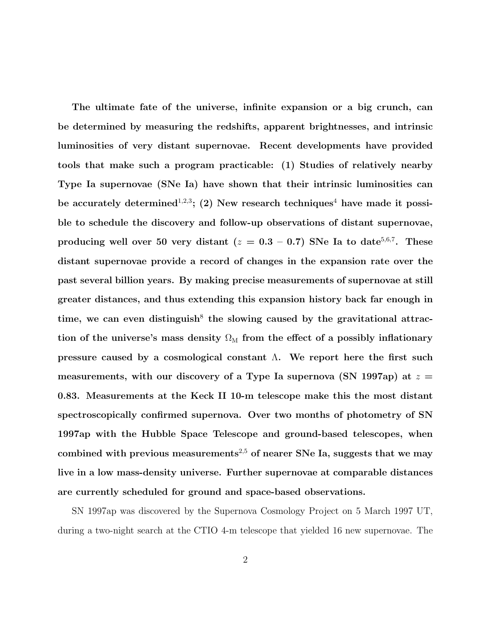The ultimate fate of the universe, infinite expansion or a big crunch, can be determined by measuring the redshifts, apparent brightnesses, and intrinsic luminosities of very distant supernovae. Recent developments have provided tools that make such a program practicable: (1) Studies of relatively nearby Type Ia supernovae (SNe Ia) have shown that their intrinsic luminosities can be accurately determined<sup>1,2,3</sup>; (2) New research techniques<sup>4</sup> have made it possible to schedule the discovery and follow-up observations of distant supernovae, producing well over 50 very distant  $(z = 0.3 - 0.7)$  SNe Ia to date<sup>5,6,7</sup>. These distant supernovae provide a record of changes in the expansion rate over the past several billion years. By making precise measurements of supernovae at still greater distances, and thus extending this expansion history back far enough in time, we can even distinguish<sup>8</sup> the slowing caused by the gravitational attraction of the universe's mass density  $\Omega_M$  from the effect of a possibly inflationary pressure caused by a cosmological constant  $\Lambda$ . We report here the first such measurements, with our discovery of a Type Ia supernova (SN 1997ap) at  $z =$ 0.83. Measurements at the Keck II 10-m telescope make this the most distant spectroscopically confirmed supernova. Over two months of photometry of SN 1997ap with the Hubble Space Telescope and ground-based telescopes, when combined with previous measurements<sup>2,5</sup> of nearer SNe Ia, suggests that we may live in a low mass-density universe. Further supernovae at comparable distances are currently scheduled for ground and space-based observations.

SN 1997ap was discovered by the Supernova Cosmology Project on 5 March 1997 UT, during a two-night search at the CTIO 4-m telescope that yielded 16 new supernovae. The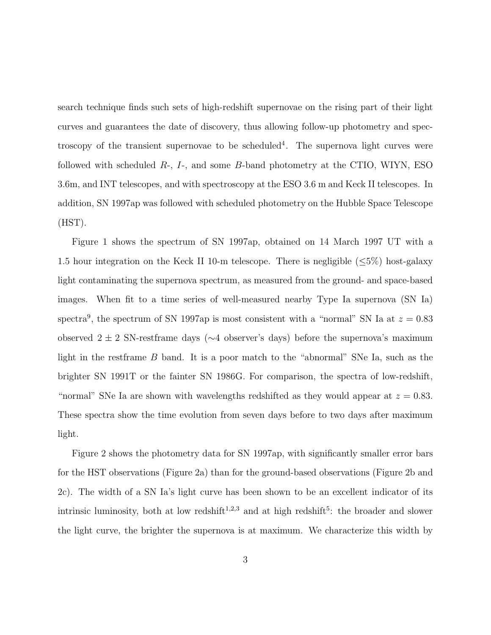search technique finds such sets of high-redshift supernovae on the rising part of their light curves and guarantees the date of discovery, thus allowing follow-up photometry and spectroscopy of the transient supernovae to be scheduled<sup>4</sup>. The supernova light curves were followed with scheduled  $R<sub>z</sub>$ ,  $I<sub>z</sub>$ , and some  $B<sub>z</sub>$ -band photometry at the CTIO, WIYN, ESO 3.6m, and INT telescopes, and with spectroscopy at the ESO 3.6 m and Keck II telescopes. In addition, SN 1997ap was followed with scheduled photometry on the Hubble Space Telescope (HST).

Figure 1 shows the spectrum of SN 1997ap, obtained on 14 March 1997 UT with a 1.5 hour integration on the Keck II 10-m telescope. There is negligible  $(\leq 5\%)$  host-galaxy light contaminating the supernova spectrum, as measured from the ground- and space-based images. When fit to a time series of well-measured nearby Type Ia supernova (SN Ia) spectra<sup>9</sup>, the spectrum of SN 1997ap is most consistent with a "normal" SN Ia at  $z = 0.83$ observed 2 ± 2 SN-restframe days (∼4 observer's days) before the supernova's maximum light in the restframe B band. It is a poor match to the "abnormal" SNe Ia, such as the brighter SN 1991T or the fainter SN 1986G. For comparison, the spectra of low-redshift, "normal" SNe Ia are shown with wavelengths redshifted as they would appear at  $z = 0.83$ . These spectra show the time evolution from seven days before to two days after maximum light.

Figure 2 shows the photometry data for SN 1997ap, with significantly smaller error bars for the HST observations (Figure 2a) than for the ground-based observations (Figure 2b and 2c). The width of a SN Ia's light curve has been shown to be an excellent indicator of its intrinsic luminosity, both at low redshift<sup>1,2,3</sup> and at high redshift<sup>5</sup>: the broader and slower the light curve, the brighter the supernova is at maximum. We characterize this width by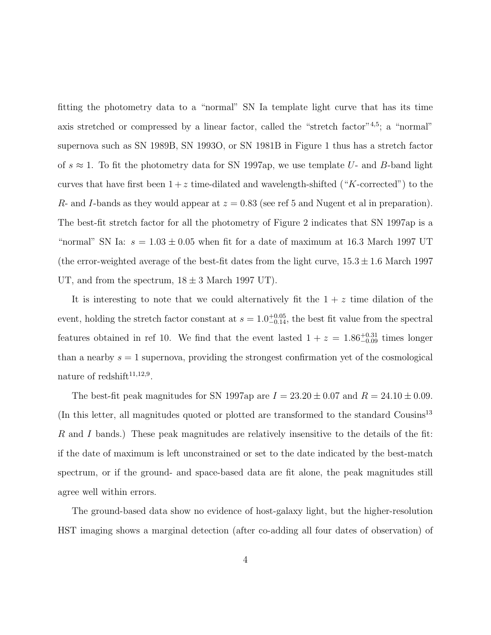fitting the photometry data to a "normal" SN Ia template light curve that has its time axis stretched or compressed by a linear factor, called the "stretch factor"<sup>4,5</sup>; a "normal" supernova such as SN 1989B, SN 1993O, or SN 1981B in Figure 1 thus has a stretch factor of  $s \approx 1$ . To fit the photometry data for SN 1997ap, we use template U- and B-band light curves that have first been  $1 + z$  time-dilated and wavelength-shifted ("K-corrected") to the R- and I-bands as they would appear at  $z = 0.83$  (see ref 5 and Nugent et al in preparation). The best-fit stretch factor for all the photometry of Figure 2 indicates that SN 1997ap is a "normal" SN Ia:  $s = 1.03 \pm 0.05$  when fit for a date of maximum at 16.3 March 1997 UT (the error-weighted average of the best-fit dates from the light curve,  $15.3 \pm 1.6$  March 1997 UT, and from the spectrum,  $18 \pm 3$  March 1997 UT).

It is interesting to note that we could alternatively fit the  $1 + z$  time dilation of the event, holding the stretch factor constant at  $s = 1.0^{+0.05}_{-0.14}$ , the best fit value from the spectral features obtained in ref 10. We find that the event lasted  $1 + z = 1.86^{+0.31}_{-0.09}$  times longer than a nearby  $s = 1$  supernova, providing the strongest confirmation yet of the cosmological nature of redshift<sup>11,12,9</sup>.

The best-fit peak magnitudes for SN 1997ap are  $I = 23.20 \pm 0.07$  and  $R = 24.10 \pm 0.09$ . (In this letter, all magnitudes quoted or plotted are transformed to the standard Cousins<sup>13</sup> R and I bands.) These peak magnitudes are relatively insensitive to the details of the fit: if the date of maximum is left unconstrained or set to the date indicated by the best-match spectrum, or if the ground- and space-based data are fit alone, the peak magnitudes still agree well within errors.

The ground-based data show no evidence of host-galaxy light, but the higher-resolution HST imaging shows a marginal detection (after co-adding all four dates of observation) of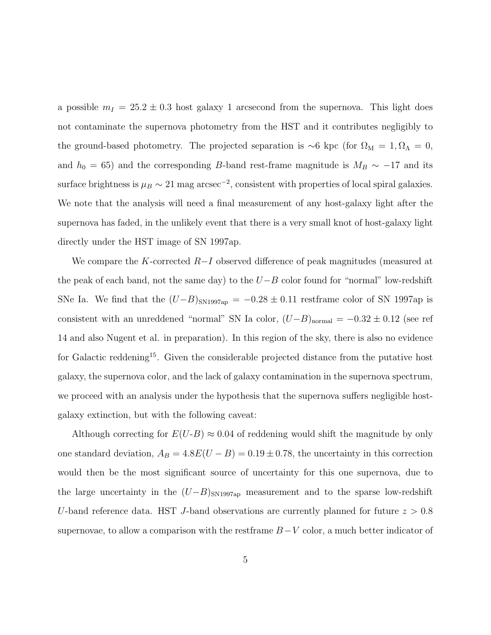a possible  $m_I = 25.2 \pm 0.3$  host galaxy 1 arcsecond from the supernova. This light does not contaminate the supernova photometry from the HST and it contributes negligibly to the ground-based photometry. The projected separation is ∼6 kpc (for  $\Omega_M = 1, \Omega_{\Lambda} = 0$ , and  $h_0 = 65$ ) and the corresponding B-band rest-frame magnitude is  $M_B \sim -17$  and its surface brightness is  $\mu_B \sim 21$  mag arcsec<sup>-2</sup>, consistent with properties of local spiral galaxies. We note that the analysis will need a final measurement of any host-galaxy light after the supernova has faded, in the unlikely event that there is a very small knot of host-galaxy light directly under the HST image of SN 1997ap.

We compare the K-corrected  $R-I$  observed difference of peak magnitudes (measured at the peak of each band, not the same day) to the  $U-B$  color found for "normal" low-redshift SNe Ia. We find that the  $(U-B)_{\text{SN1997ap}} = -0.28 \pm 0.11$  restframe color of SN 1997ap is consistent with an unreddened "normal" SN Ia color,  $(U-B)_{\text{normal}} = -0.32 \pm 0.12$  (see ref 14 and also Nugent et al. in preparation). In this region of the sky, there is also no evidence for Galactic reddening<sup>15</sup>. Given the considerable projected distance from the putative host galaxy, the supernova color, and the lack of galaxy contamination in the supernova spectrum, we proceed with an analysis under the hypothesis that the supernova suffers negligible hostgalaxy extinction, but with the following caveat:

Although correcting for  $E(U-B) \approx 0.04$  of reddening would shift the magnitude by only one standard deviation,  $A_B = 4.8E(U - B) = 0.19 \pm 0.78$ , the uncertainty in this correction would then be the most significant source of uncertainty for this one supernova, due to the large uncertainty in the  $(U-B)_{\text{SN1997ap}}$  measurement and to the sparse low-redshift U-band reference data. HST J-band observations are currently planned for future  $z > 0.8$ supernovae, to allow a comparison with the restframe  $B-V$  color, a much better indicator of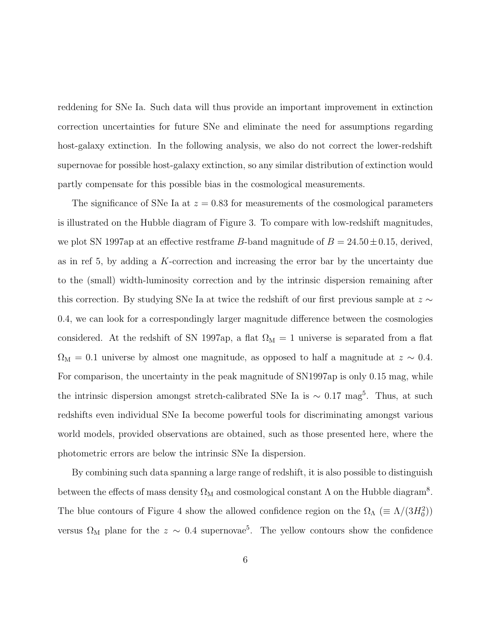reddening for SNe Ia. Such data will thus provide an important improvement in extinction correction uncertainties for future SNe and eliminate the need for assumptions regarding host-galaxy extinction. In the following analysis, we also do not correct the lower-redshift supernovae for possible host-galaxy extinction, so any similar distribution of extinction would partly compensate for this possible bias in the cosmological measurements.

The significance of SNe Ia at  $z = 0.83$  for measurements of the cosmological parameters is illustrated on the Hubble diagram of Figure 3. To compare with low-redshift magnitudes, we plot SN 1997ap at an effective restframe B-band magnitude of  $B = 24.50 \pm 0.15$ , derived, as in ref 5, by adding a K-correction and increasing the error bar by the uncertainty due to the (small) width-luminosity correction and by the intrinsic dispersion remaining after this correction. By studying SNe Ia at twice the redshift of our first previous sample at  $z \sim$ 0.4, we can look for a correspondingly larger magnitude difference between the cosmologies considered. At the redshift of SN 1997ap, a flat  $\Omega_M = 1$  universe is separated from a flat  $\Omega_{\rm M} = 0.1$  universe by almost one magnitude, as opposed to half a magnitude at  $z \sim 0.4$ . For comparison, the uncertainty in the peak magnitude of SN1997ap is only 0.15 mag, while the intrinsic dispersion amongst stretch-calibrated SNe Ia is  $\sim 0.17 \text{ mag}^5$ . Thus, at such redshifts even individual SNe Ia become powerful tools for discriminating amongst various world models, provided observations are obtained, such as those presented here, where the photometric errors are below the intrinsic SNe Ia dispersion.

By combining such data spanning a large range of redshift, it is also possible to distinguish between the effects of mass density  $\Omega_M$  and cosmological constant  $\Lambda$  on the Hubble diagram<sup>8</sup>. The blue contours of Figure 4 show the allowed confidence region on the  $\Omega_{\Lambda}$  ( $\equiv \Lambda/(3H_0^2)$ ) versus  $\Omega_M$  plane for the  $z \sim 0.4$  supernovae<sup>5</sup>. The yellow contours show the confidence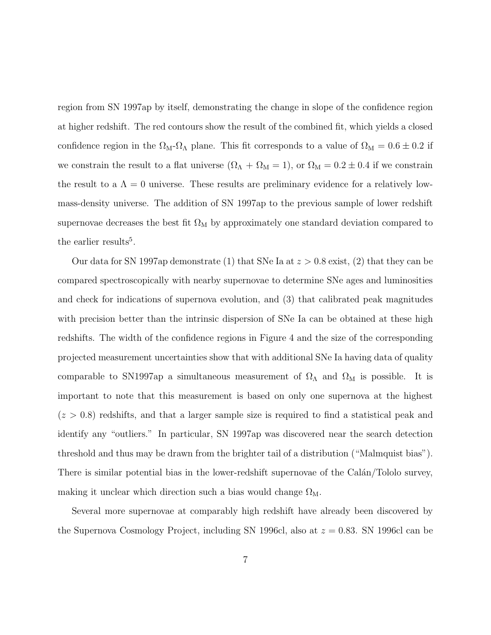region from SN 1997ap by itself, demonstrating the change in slope of the confidence region at higher redshift. The red contours show the result of the combined fit, which yields a closed confidence region in the  $\Omega_M - \Omega_{\Lambda}$  plane. This fit corresponds to a value of  $\Omega_M = 0.6 \pm 0.2$  if we constrain the result to a flat universe  $(\Omega_A + \Omega_M = 1)$ , or  $\Omega_M = 0.2 \pm 0.4$  if we constrain the result to a  $\Lambda = 0$  universe. These results are preliminary evidence for a relatively lowmass-density universe. The addition of SN 1997ap to the previous sample of lower redshift supernovae decreases the best fit  $\Omega_M$  by approximately one standard deviation compared to the earlier results<sup>5</sup>.

Our data for SN 1997ap demonstrate (1) that SNe Ia at  $z > 0.8$  exist, (2) that they can be compared spectroscopically with nearby supernovae to determine SNe ages and luminosities and check for indications of supernova evolution, and (3) that calibrated peak magnitudes with precision better than the intrinsic dispersion of SNe Ia can be obtained at these high redshifts. The width of the confidence regions in Figure 4 and the size of the corresponding projected measurement uncertainties show that with additional SNe Ia having data of quality comparable to SN1997ap a simultaneous measurement of  $\Omega_{\Lambda}$  and  $\Omega_{\text{M}}$  is possible. It is important to note that this measurement is based on only one supernova at the highest  $(z > 0.8)$  redshifts, and that a larger sample size is required to find a statistical peak and identify any "outliers." In particular, SN 1997ap was discovered near the search detection threshold and thus may be drawn from the brighter tail of a distribution ("Malmquist bias"). There is similar potential bias in the lower-redshift supernovae of the Calán/Tololo survey, making it unclear which direction such a bias would change  $\Omega_{\rm M}$ .

Several more supernovae at comparably high redshift have already been discovered by the Supernova Cosmology Project, including SN 1996cl, also at  $z = 0.83$ . SN 1996cl can be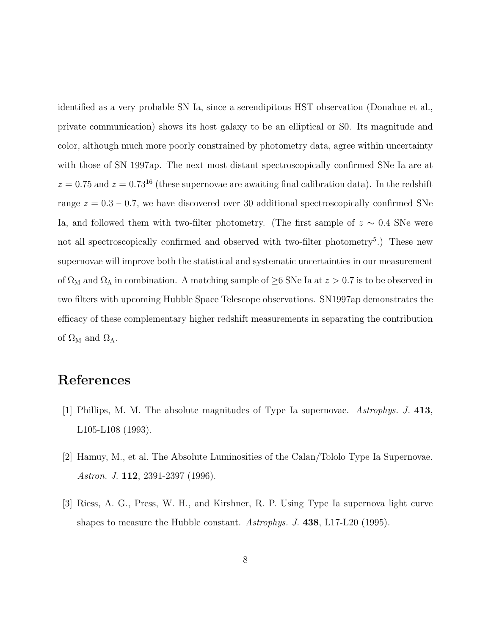identified as a very probable SN Ia, since a serendipitous HST observation (Donahue et al., private communication) shows its host galaxy to be an elliptical or S0. Its magnitude and color, although much more poorly constrained by photometry data, agree within uncertainty with those of SN 1997ap. The next most distant spectroscopically confirmed SNe Ia are at  $z = 0.75$  and  $z = 0.73^{16}$  (these supernovae are awaiting final calibration data). In the redshift range  $z = 0.3 - 0.7$ , we have discovered over 30 additional spectroscopically confirmed SNe Ia, and followed them with two-filter photometry. (The first sample of  $z \sim 0.4$  SNe were not all spectroscopically confirmed and observed with two-filter photometry<sup>5</sup>.) These new supernovae will improve both the statistical and systematic uncertainties in our measurement of  $\Omega_M$  and  $\Omega_{\Lambda}$  in combination. A matching sample of  $\geq$ 6 SNe Ia at  $z > 0.7$  is to be observed in two filters with upcoming Hubble Space Telescope observations. SN1997ap demonstrates the efficacy of these complementary higher redshift measurements in separating the contribution of  $\Omega_M$  and  $\Omega_{\Lambda}$ .

### References

- [1] Phillips, M. M. The absolute magnitudes of Type Ia supernovae. *Astrophys. J.* 413, L105-L108 (1993).
- [2] Hamuy, M., et al. The Absolute Luminosities of the Calan/Tololo Type Ia Supernovae. *Astron. J.* 112, 2391-2397 (1996).
- [3] Riess, A. G., Press, W. H., and Kirshner, R. P. Using Type Ia supernova light curve shapes to measure the Hubble constant. *Astrophys. J.* 438, L17-L20 (1995).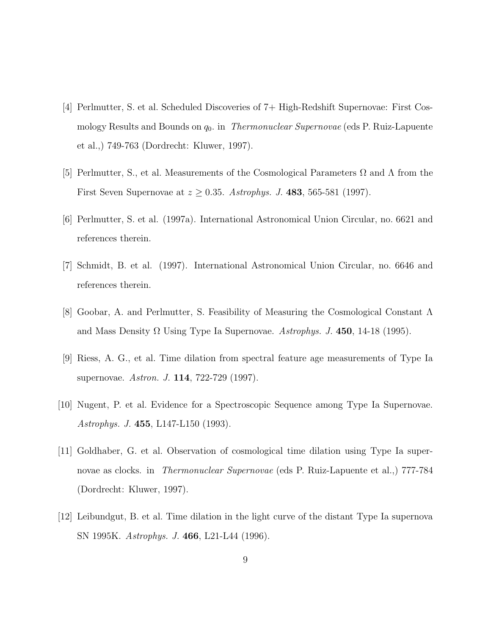- [4] Perlmutter, S. et al. Scheduled Discoveries of 7+ High-Redshift Supernovae: First Cosmology Results and Bounds on  $q_0$ . in *Thermonuclear Supernovae* (eds P. Ruiz-Lapuente et al.,) 749-763 (Dordrecht: Kluwer, 1997).
- [5] Perlmutter, S., et al. Measurements of the Cosmological Parameters  $\Omega$  and  $\Lambda$  from the First Seven Supernovae at  $z \geq 0.35$ . *Astrophys. J.* 483, 565-581 (1997).
- [6] Perlmutter, S. et al. (1997a). International Astronomical Union Circular, no. 6621 and references therein.
- [7] Schmidt, B. et al. (1997). International Astronomical Union Circular, no. 6646 and references therein.
- [8] Goobar, A. and Perlmutter, S. Feasibility of Measuring the Cosmological Constant Λ and Mass Density  $\Omega$  Using Type Ia Supernovae. *Astrophys. J.* 450, 14-18 (1995).
- [9] Riess, A. G., et al. Time dilation from spectral feature age measurements of Type Ia supernovae. *Astron. J.* 114, 722-729 (1997).
- [10] Nugent, P. et al. Evidence for a Spectroscopic Sequence among Type Ia Supernovae. *Astrophys. J.* 455, L147-L150 (1993).
- [11] Goldhaber, G. et al. Observation of cosmological time dilation using Type Ia supernovae as clocks. in *Thermonuclear Supernovae* (eds P. Ruiz-Lapuente et al.,) 777-784 (Dordrecht: Kluwer, 1997).
- [12] Leibundgut, B. et al. Time dilation in the light curve of the distant Type Ia supernova SN 1995K. *Astrophys. J.* 466, L21-L44 (1996).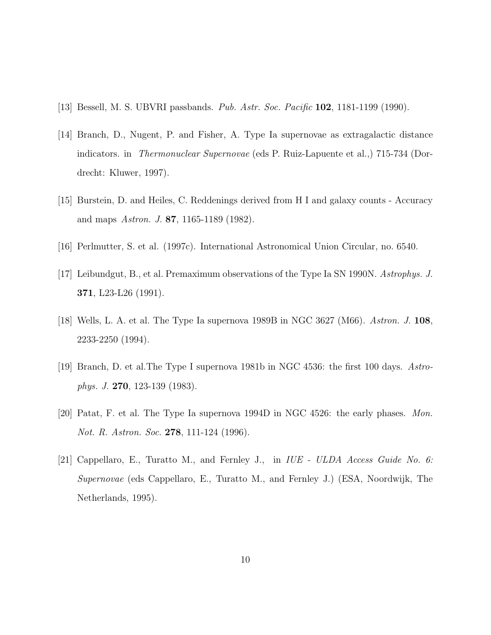- [13] Bessell, M. S. UBVRI passbands. *Pub. Astr. Soc. Pacific* 102, 1181-1199 (1990).
- [14] Branch, D., Nugent, P. and Fisher, A. Type Ia supernovae as extragalactic distance indicators. in *Thermonuclear Supernovae* (eds P. Ruiz-Lapuente et al.,) 715-734 (Dordrecht: Kluwer, 1997).
- [15] Burstein, D. and Heiles, C. Reddenings derived from H I and galaxy counts Accuracy and maps *Astron. J.* 87, 1165-1189 (1982).
- [16] Perlmutter, S. et al. (1997c). International Astronomical Union Circular, no. 6540.
- [17] Leibundgut, B., et al. Premaximum observations of the Type Ia SN 1990N. *Astrophys. J.* 371, L23-L26 (1991).
- [18] Wells, L. A. et al. The Type Ia supernova 1989B in NGC 3627 (M66). *Astron. J.* 108, 2233-2250 (1994).
- [19] Branch, D. et al.The Type I supernova 1981b in NGC 4536: the first 100 days. *Astrophys. J.* 270, 123-139 (1983).
- [20] Patat, F. et al. The Type Ia supernova 1994D in NGC 4526: the early phases. *Mon. Not. R. Astron. Soc.* 278, 111-124 (1996).
- [21] Cappellaro, E., Turatto M., and Fernley J., in *IUE ULDA Access Guide No. 6: Supernovae* (eds Cappellaro, E., Turatto M., and Fernley J.) (ESA, Noordwijk, The Netherlands, 1995).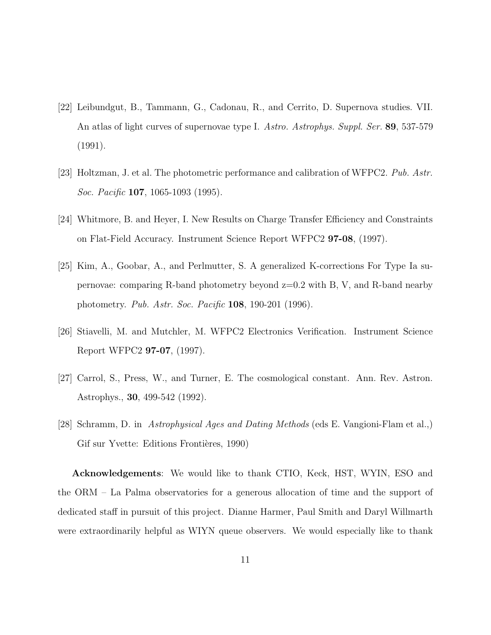- [22] Leibundgut, B., Tammann, G., Cadonau, R., and Cerrito, D. Supernova studies. VII. An atlas of light curves of supernovae type I. *Astro. Astrophys. Suppl. Ser.* 89, 537-579 (1991).
- [23] Holtzman, J. et al. The photometric performance and calibration of WFPC2. *Pub. Astr. Soc. Pacific* 107, 1065-1093 (1995).
- [24] Whitmore, B. and Heyer, I. New Results on Charge Transfer Efficiency and Constraints on Flat-Field Accuracy. Instrument Science Report WFPC2 97-08, (1997).
- [25] Kim, A., Goobar, A., and Perlmutter, S. A generalized K-corrections For Type Ia supernovae: comparing R-band photometry beyond z=0.2 with B, V, and R-band nearby photometry. *Pub. Astr. Soc. Pacific* 108, 190-201 (1996).
- [26] Stiavelli, M. and Mutchler, M. WFPC2 Electronics Verification. Instrument Science Report WFPC2 97-07, (1997).
- [27] Carrol, S., Press, W., and Turner, E. The cosmological constant. Ann. Rev. Astron. Astrophys., 30, 499-542 (1992).
- [28] Schramm, D. in *Astrophysical Ages and Dating Methods* (eds E. Vangioni-Flam et al.,) Gif sur Yvette: Editions Frontières, 1990)

Acknowledgements: We would like to thank CTIO, Keck, HST, WYIN, ESO and the ORM – La Palma observatories for a generous allocation of time and the support of dedicated staff in pursuit of this project. Dianne Harmer, Paul Smith and Daryl Willmarth were extraordinarily helpful as WIYN queue observers. We would especially like to thank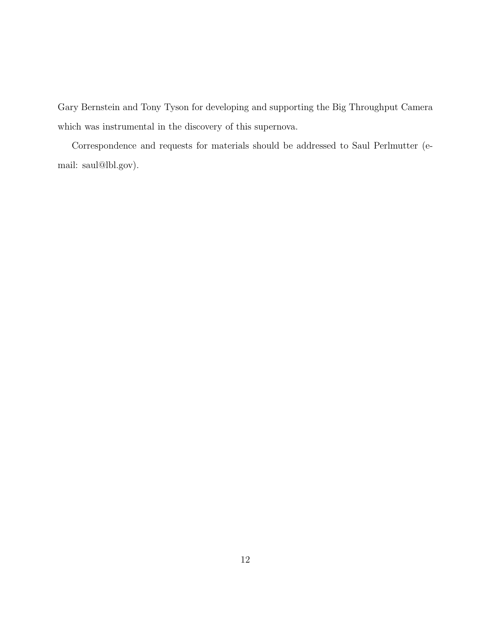Gary Bernstein and Tony Tyson for developing and supporting the Big Throughput Camera which was instrumental in the discovery of this supernova.

Correspondence and requests for materials should be addressed to Saul Perlmutter (email: saul@lbl.gov).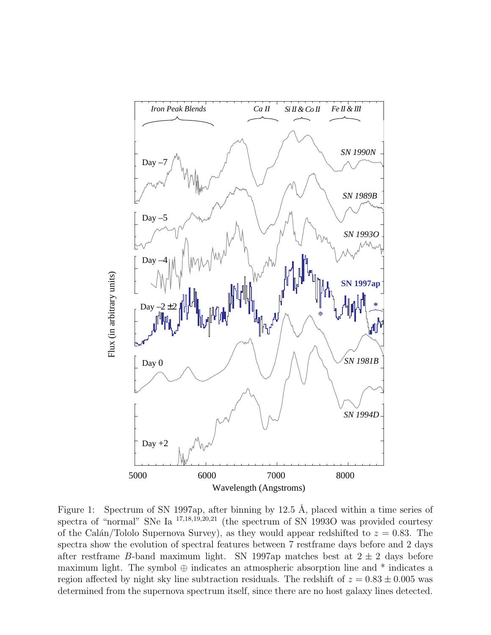

Figure 1: Spectrum of SN 1997ap, after binning by 12.5 Å, placed within a time series of spectra of "normal" SNe Ia <sup>17</sup>,18,19,20,<sup>21</sup> (the spectrum of SN 1993O was provided courtesy of the Calán/Tololo Supernova Survey), as they would appear redshifted to  $z = 0.83$ . The spectra show the evolution of spectral features between 7 restframe days before and 2 days after restframe B-band maximum light. SN 1997ap matches best at  $2 \pm 2$  days before maximum light. The symbol  $\oplus$  indicates an atmospheric absorption line and  $*$  indicates a region affected by night sky line subtraction residuals. The redshift of  $z = 0.83 \pm 0.005$  was determined from the supernova spectrum itself, since there are no host galaxy lines detected.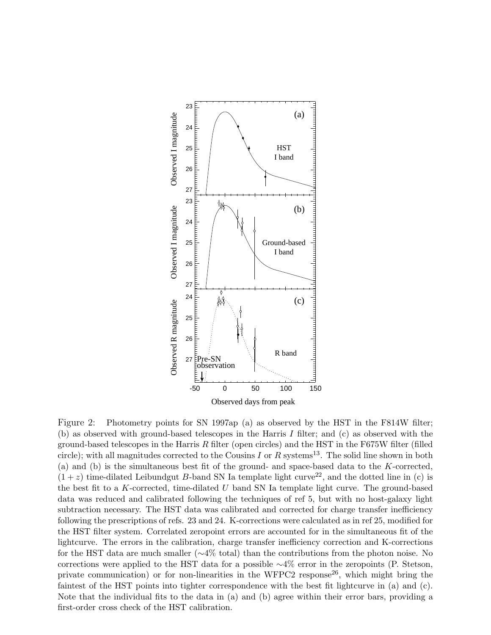

Figure 2: Photometry points for SN 1997ap (a) as observed by the HST in the F814W filter; (b) as observed with ground-based telescopes in the Harris I filter; and (c) as observed with the ground-based telescopes in the Harris  $R$  filter (open circles) and the HST in the F675W filter (filled circle); with all magnitudes corrected to the Cousins I or R systems<sup>13</sup>. The solid line shown in both (a) and (b) is the simultaneous best fit of the ground- and space-based data to the K-corrected,  $(1+z)$  time-dilated Leibundgut B-band SN Ia template light curve<sup>22</sup>, and the dotted line in (c) is the best fit to a K-corrected, time-dilated  $U$  band SN Ia template light curve. The ground-based data was reduced and calibrated following the techniques of ref 5, but with no host-galaxy light subtraction necessary. The HST data was calibrated and corrected for charge transfer inefficiency following the prescriptions of refs. 23 and 24. K-corrections were calculated as in ref 25, modified for the HST filter system. Correlated zeropoint errors are accounted for in the simultaneous fit of the lightcurve. The errors in the calibration, charge transfer inefficiency correction and K-corrections for the HST data are much smaller (∼4% total) than the contributions from the photon noise. No corrections were applied to the HST data for a possible ∼4% error in the zeropoints (P. Stetson, private communication) or for non-linearities in the WFPC2 response<sup>26</sup>, which might bring the faintest of the HST points into tighter correspondence with the best fit lightcurve in (a) and (c). Note that the individual fits to the data in (a) and (b) agree within their error bars, providing a first-order cross check of the HST calibration.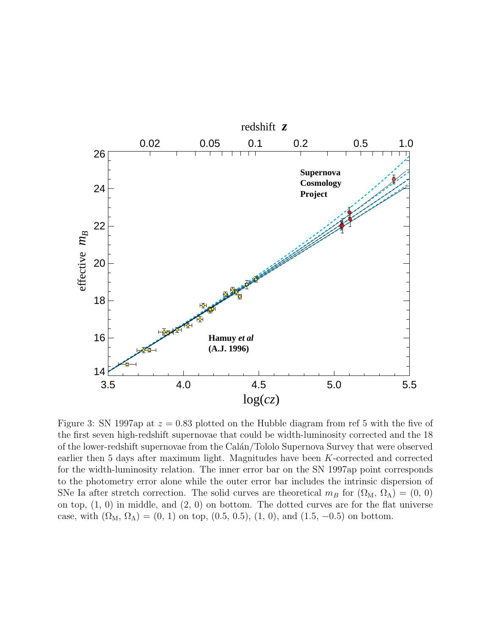

Figure 3: SN 1997ap at  $z = 0.83$  plotted on the Hubble diagram from ref 5 with the five of the first seven high-redshift supernovae that could be width-luminosity corrected and the 18 of the lower-redshift supernovae from the Cal´an/Tololo Supernova Survey that were observed earlier then 5 days after maximum light. Magnitudes have been K-corrected and corrected for the width-luminosity relation. The inner error bar on the SN 1997ap point corresponds to the photometry error alone while the outer error bar includes the intrinsic dispersion of SNe Ia after stretch correction. The solid curves are theoretical  $m_B$  for  $(\Omega_M, \Omega_\Lambda) = (0, 0)$ on top,  $(1, 0)$  in middle, and  $(2, 0)$  on bottom. The dotted curves are for the flat universe case, with  $(\Omega_M, \Omega_\Lambda) = (0, 1)$  on top,  $(0.5, 0.5)$ ,  $(1, 0)$ , and  $(1.5, -0.5)$  on bottom.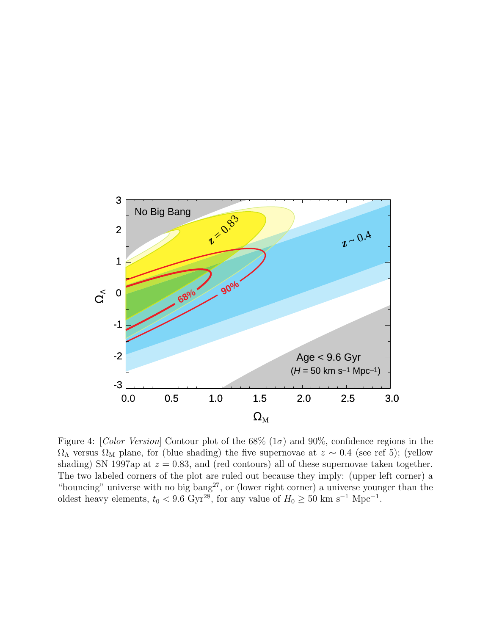

Figure 4: [*Color Version*] Contour plot of the  $68\%$  ( $1\sigma$ ) and  $90\%$ , confidence regions in the  $\Omega_{\Lambda}$  versus  $\Omega_{\rm M}$  plane, for (blue shading) the five supernovae at  $z \sim 0.4$  (see ref 5); (yellow shading) SN 1997ap at  $z = 0.83$ , and (red contours) all of these supernovae taken together. The two labeled corners of the plot are ruled out because they imply: (upper left corner) a "bouncing" universe with no big  $bang^{27}$ , or (lower right corner) a universe younger than the oldest heavy elements,  $t_0 < 9.6$  Gyr<sup>28</sup>, for any value of  $H_0 \geq 50$  km s<sup>-1</sup> Mpc<sup>-1</sup>.